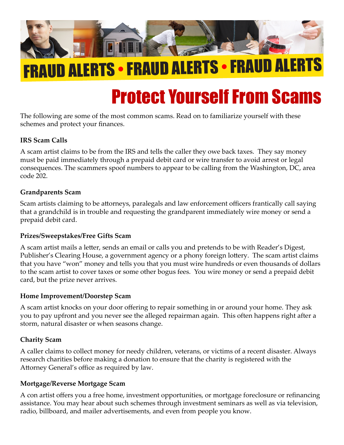

# FRAUD ALERTS •FRAUD ALERTS •FRAUD ALERTS

# Protect Yourself From Scams

The following are some of the most common scams. Read on to familiarize yourself with these schemes and protect your finances.

#### **IRS Scam Calls**

A scam artist claims to be from the IRS and tells the caller they owe back taxes. They say money must be paid immediately through a prepaid debit card or wire transfer to avoid arrest or legal consequences. The scammers spoof numbers to appear to be calling from the Washington, DC, area code 202.

#### **Grandparents Scam**

Scam artists claiming to be attorneys, paralegals and law enforcement officers frantically call saying that a grandchild is in trouble and requesting the grandparent immediately wire money or send a prepaid debit card.

#### **Prizes/Sweepstakes/Free Gifts Scam**

A scam artist mails a letter, sends an email or calls you and pretends to be with Reader's Digest, Publisher's Clearing House, a government agency or a phony foreign lottery. The scam artist claims that you have "won" money and tells you that you must wire hundreds or even thousands of dollars to the scam artist to cover taxes or some other bogus fees. You wire money or send a prepaid debit card, but the prize never arrives.

#### **Home Improvement/Doorstep Scam**

A scam artist knocks on your door offering to repair something in or around your home. They ask you to pay upfront and you never see the alleged repairman again. This often happens right after a storm, natural disaster or when seasons change.

#### **Charity Scam**

A caller claims to collect money for needy children, veterans, or victims of a recent disaster. Always research charities before making a donation to ensure that the charity is registered with the Attorney General's office as required by law.

#### **Mortgage/Reverse Mortgage Scam**

A con artist offers you a free home, investment opportunities, or mortgage foreclosure or refinancing assistance. You may hear about such schemes through investment seminars as well as via television, radio, billboard, and mailer advertisements, and even from people you know.